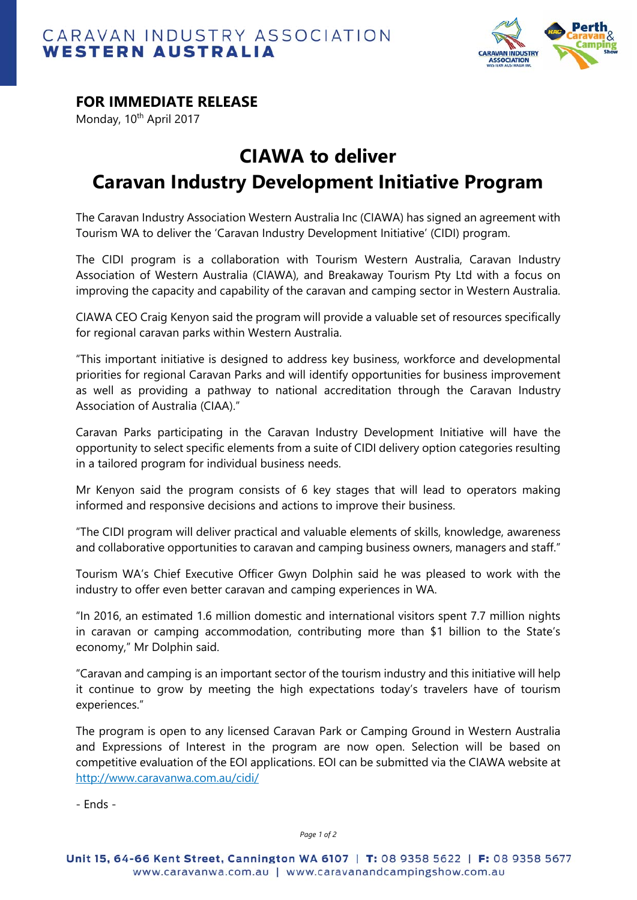



## **FOR IMMEDIATE RELEASE**

Monday, 10<sup>th</sup> April 2017

## **CIAWA to deliver Caravan Industry Development Initiative Program**

The Caravan Industry Association Western Australia Inc (CIAWA) has signed an agreement with Tourism WA to deliver the 'Caravan Industry Development Initiative' (CIDI) program.

The CIDI program is a collaboration with Tourism Western Australia, Caravan Industry Association of Western Australia (CIAWA), and Breakaway Tourism Pty Ltd with a focus on improving the capacity and capability of the caravan and camping sector in Western Australia.

CIAWA CEO Craig Kenyon said the program will provide a valuable set of resources specifically for regional caravan parks within Western Australia.

"This important initiative is designed to address key business, workforce and developmental priorities for regional Caravan Parks and will identify opportunities for business improvement as well as providing a pathway to national accreditation through the Caravan Industry Association of Australia (CIAA)."

Caravan Parks participating in the Caravan Industry Development Initiative will have the opportunity to select specific elements from a suite of CIDI delivery option categories resulting in a tailored program for individual business needs.

Mr Kenyon said the program consists of 6 key stages that will lead to operators making informed and responsive decisions and actions to improve their business.

"The CIDI program will deliver practical and valuable elements of skills, knowledge, awareness and collaborative opportunities to caravan and camping business owners, managers and staff."

Tourism WA's Chief Executive Officer Gwyn Dolphin said he was pleased to work with the industry to offer even better caravan and camping experiences in WA.

"In 2016, an estimated 1.6 million domestic and international visitors spent 7.7 million nights in caravan or camping accommodation, contributing more than \$1 billion to the State's economy," Mr Dolphin said.

"Caravan and camping is an important sector of the tourism industry and this initiative will help it continue to grow by meeting the high expectations today's travelers have of tourism experiences."

The program is open to any licensed Caravan Park or Camping Ground in Western Australia and Expressions of Interest in the program are now open. Selection will be based on competitive evaluation of the EOI applications. EOI can be submitted via the CIAWA website at http://www.caravanwa.com.au/cidi/

- Ends -